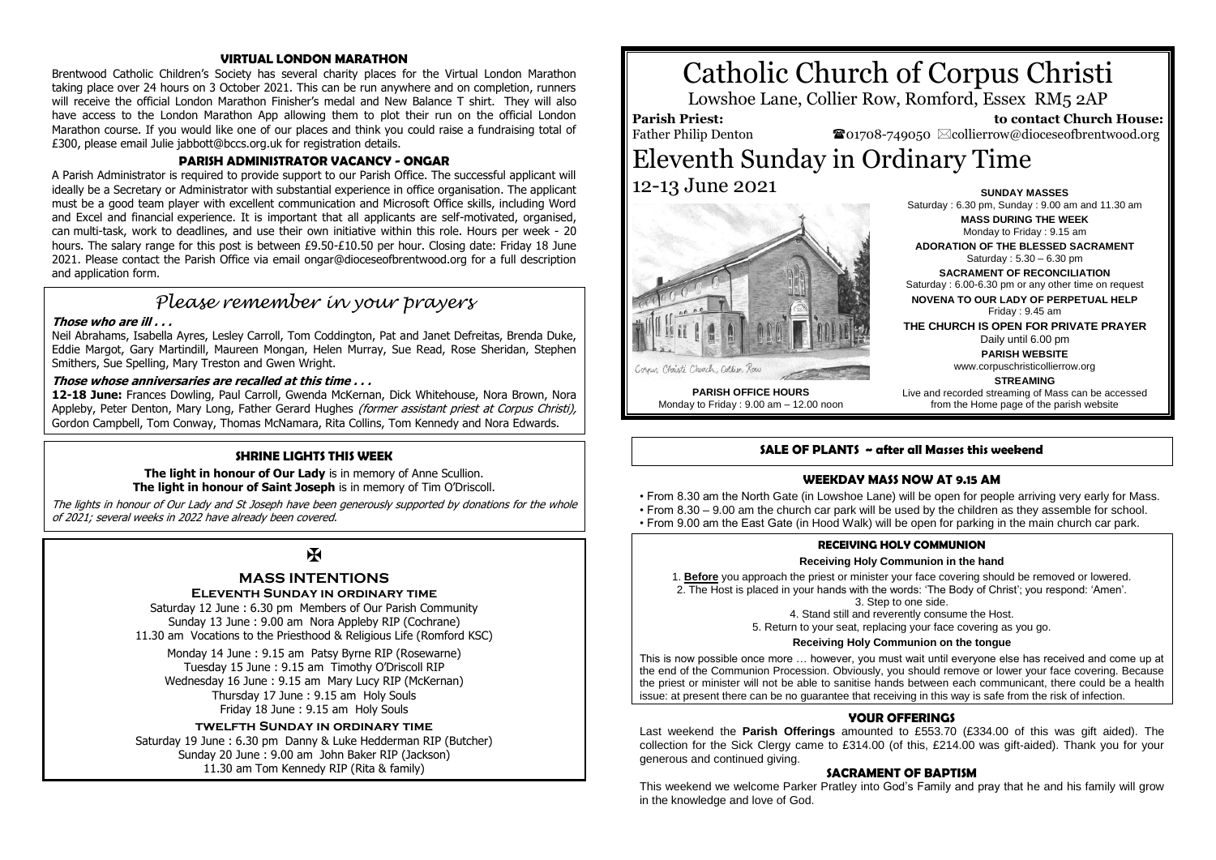# **VIRTUAL LONDON MARATHON**

Brentwood Catholic Children's Society has several charity places for the Virtual London Marathon taking place over 24 hours on 3 October 2021. This can be run anywhere and on completion, runners will receive the official London Marathon Finisher's medal and New Balance T shirt. They will also have access to the London Marathon App allowing them to plot their run on the official London Marathon course. If you would like one of our places and think you could raise a fundraising total of £300, please email Julie jabbott@bccs.org.uk for registration details.

# **PARISH ADMINISTRATOR VACANCY - ONGAR**

A Parish Administrator is required to provide support to our Parish Office. The successful applicant will ideally be a Secretary or Administrator with substantial experience in office organisation. The applicant must be a good team player with excellent communication and Microsoft Office skills, including Word and Excel and financial experience. It is important that all applicants are self-motivated, organised, can multi-task, work to deadlines, and use their own initiative within this role. Hours per week - 20 hours. The salary range for this post is between £9.50-£10.50 per hour. Closing date: Friday 18 June 2021. Please contact the Parish Office via email ongar@dioceseofbrentwood.org for a full description and application form.

# *Please remember in your prayers*

# **Those who are ill . . .**

Neil Abrahams, Isabella Ayres, Lesley Carroll, Tom Coddington, Pat and Janet Defreitas, Brenda Duke, Eddie Margot, Gary Martindill, Maureen Mongan, Helen Murray, Sue Read, Rose Sheridan, Stephen Smithers, Sue Spelling, Mary Treston and Gwen Wright.

# **Those whose anniversaries are recalled at this time . . .**

**12-18 June:** Frances Dowling, Paul Carroll, Gwenda McKernan, Dick Whitehouse, Nora Brown, Nora Appleby, Peter Denton, Mary Long, Father Gerard Hughes (former assistant priest at Corpus Christi), Gordon Campbell, Tom Conway, Thomas McNamara, Rita Collins, Tom Kennedy and Nora Edwards.

# **SHRINE LIGHTS THIS WEEK**

**The light in honour of Our Lady** is in memory of Anne Scullion. **The light in honour of Saint Joseph** is in memory of Tim O'Driscoll.

The lights in honour of Our Lady and St Joseph have been generously supported by donations for the whole of 2021; several weeks in 2022 have already been covered.

# $\mathbf F$

# **MASS INTENTIONS**

# **ELEVENTH SUNDAY IN ORDINARY TIME**

Saturday 12 June : 6.30 pm Members of Our Parish Community Sunday 13 June : 9.00 am Nora Appleby RIP (Cochrane) 11.30 am Vocations to the Priesthood & Religious Life (Romford KSC)

Monday 14 June : 9.15 am Patsy Byrne RIP (Rosewarne) Tuesday 15 June : 9.15 am Timothy O'Driscoll RIP Wednesday 16 June : 9.15 am Mary Lucy RIP (McKernan) Thursday 17 June : 9.15 am Holy Souls Friday 18 June : 9.15 am Holy Souls

# **twelfth Sunday in ordinary time**

Saturday 19 June : 6.30 pm Danny & Luke Hedderman RIP (Butcher) Sunday 20 June : 9.00 am John Baker RIP (Jackson) 11.30 am Tom Kennedy RIP (Rita & family)

# Catholic Church of Corpus Christi

Lowshoe Lane, Collier Row, Romford, Essex RM5 2AP

**Parish Priest:** Father Philip Denton

 **to contact Church House:**  $\bullet$ 01708-749050  $\boxtimes$ collierrow@dioceseofbrentwood.org

# Eleventh Sunday in Ordinary Time 12-13 June 2021 **SUNDAY MASSES**



Saturday : 6.30 pm, Sunday : 9.00 am and 11.30 am **MASS DURING THE WEEK** Monday to Friday : 9.15 am **ADORATION OF THE BLESSED SACRAMENT**

Saturday : 5.30 – 6.30 pm

**SACRAMENT OF RECONCILIATION** Saturday : 6.00-6.30 pm or any other time on request

**NOVENA TO OUR LADY OF PERPETUAL HELP** Friday : 9.45 am

**THE CHURCH IS OPEN FOR PRIVATE PRAYER** Daily until 6.00 pm

**PARISH WEBSITE** www.corpuschristicollierrow.org

**PARISH OFFICE HOURS** Monday to Friday : 9.00 am – 12.00 noon

**STREAMING** Live and recorded streaming of Mass can be accessed from the Home page of the parish website

# **SALE OF PLANTS ~ after all Masses this weekend**

# **WEEKDAY MASS NOW AT 9.15 AM**

• From 8.30 am the North Gate (in Lowshoe Lane) will be open for people arriving very early for Mass. • From 8.30 – 9.00 am the church car park will be used by the children as they assemble for school. • From 9.00 am the East Gate (in Hood Walk) will be open for parking in the main church car park.

## **RECEIVING HOLY COMMUNION**

#### **Receiving Holy Communion in the hand**

1. **Before** you approach the priest or minister your face covering should be removed or lowered. 2. The Host is placed in your hands with the words: 'The Body of Christ'; you respond: 'Amen'.

3. Step to one side.

4. Stand still and reverently consume the Host.

5. Return to your seat, replacing your face covering as you go.

## **Receiving Holy Communion on the tongue**

This is now possible once more … however, you must wait until everyone else has received and come up at the end of the Communion Procession. Obviously, you should remove or lower your face covering. Because the priest or minister will not be able to sanitise hands between each communicant, there could be a health issue: at present there can be no guarantee that receiving in this way is safe from the risk of infection.

# **YOUR OFFERINGS**

Last weekend the **Parish Offerings** amounted to £553.70 (£334.00 of this was gift aided). The collection for the Sick Clergy came to £314.00 (of this, £214.00 was gift-aided). Thank you for your generous and continued giving.

## **SACRAMENT OF BAPTISM**

This weekend we welcome Parker Pratley into God's Family and pray that he and his family will grow in the knowledge and love of God.